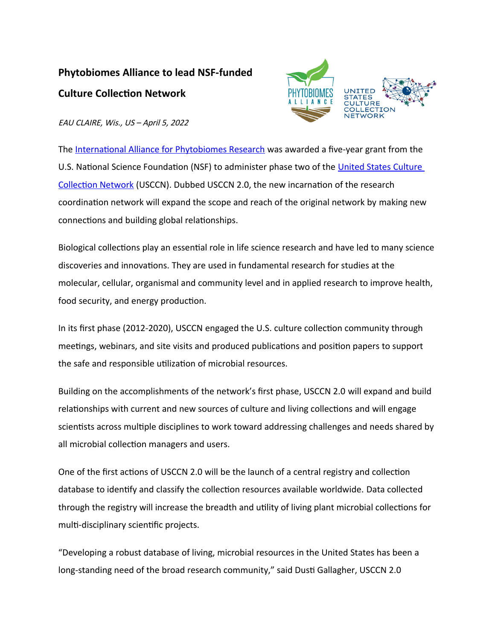## **Phytobiomes Alliance to lead NSF-funded Culture Collection Network**



EAU CLAIRE, Wis., US – April 5, 2022

The [International Alliance for Phytobiomes Research](http://www.phytobiomesalliance.org/) was awarded a five-year grant from the U.S. National Science Foundation (NSF) to administer phase two of the United States Culture [Collection Network](https://usccn.org/) (USCCN). Dubbed USCCN 2.0, the new incarnation of the research coordination network will expand the scope and reach of the original network by making new connections and building global relationships.

Biological collections play an essential role in life science research and have led to many science discoveries and innovations. They are used in fundamental research for studies at the molecular, cellular, organismal and community level and in applied research to improve health, food security, and energy production.

In its first phase (2012-2020), USCCN engaged the U.S. culture collection community through meetings, webinars, and site visits and produced publications and position papers to support the safe and responsible utilization of microbial resources.

Building on the accomplishments of the network's first phase, USCCN 2.0 will expand and build relationships with current and new sources of culture and living collections and will engage scientists across multiple disciplines to work toward addressing challenges and needs shared by all microbial collection managers and users.

One of the first actions of USCCN 2.0 will be the launch of a central registry and collection database to identify and classify the collection resources available worldwide. Data collected through the registry will increase the breadth and utility of living plant microbial collections for multi-disciplinary scientific projects.

"Developing a robust database of living, microbial resources in the United States has been a long-standing need of the broad research community," said Dusti Gallagher, USCCN 2.0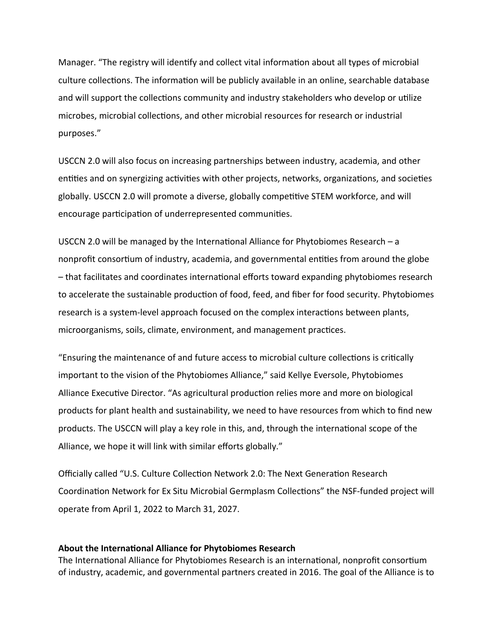Manager. "The registry will identify and collect vital information about all types of microbial culture collections. The information will be publicly available in an online, searchable database and will support the collections community and industry stakeholders who develop or utilize microbes, microbial collections, and other microbial resources for research or industrial purposes."

USCCN 2.0 will also focus on increasing partnerships between industry, academia, and other entities and on synergizing activities with other projects, networks, organizations, and societies globally. USCCN 2.0 will promote a diverse, globally competitive STEM workforce, and will encourage participation of underrepresented communities.

USCCN 2.0 will be managed by the International Alliance for Phytobiomes Research – a nonprofit consortium of industry, academia, and governmental entities from around the globe – that facilitates and coordinates international efforts toward expanding phytobiomes research to accelerate the sustainable production of food, feed, and fiber for food security. Phytobiomes research is a system-level approach focused on the complex interactions between plants, microorganisms, soils, climate, environment, and management practices.

"Ensuring the maintenance of and future access to microbial culture collections is critically important to the vision of the Phytobiomes Alliance," said Kellye Eversole, Phytobiomes Alliance Executive Director. "As agricultural production relies more and more on biological products for plant health and sustainability, we need to have resources from which to find new products. The USCCN will play a key role in this, and, through the international scope of the Alliance, we hope it will link with similar efforts globally."

Officially called "U.S. Culture Collection Network 2.0: The Next Generation Research Coordination Network for Ex Situ Microbial Germplasm Collections" the NSF-funded project will operate from April 1, 2022 to March 31, 2027.

## **About the International Alliance for Phytobiomes Research**

The International Alliance for Phytobiomes Research is an international, nonprofit consortium of industry, academic, and governmental partners created in 2016. The goal of the Alliance is to